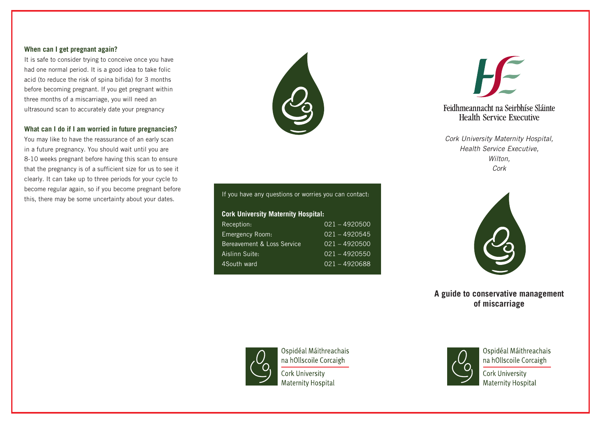#### **When can I get pregnant again?**

It is safe to consider trying to conceive once you have had one normal period. It is a good idea to take folic acid (to reduce the risk of spina bifida) for 3 months before becoming pregnant. If you get pregnant within three months of a miscarriage, you will need an ultrasound scan to accurately date your pregnancy

## **What can I do if I am worried in future pregnancies?**

You may like to have the reassurance of an early scan in a future pregnancy. You should wait until you are 8-10 weeks pregnant before having this scan to ensure that the pregnancy is of a sufficient size for us to see it clearly. It can take up to three periods for your cycle to become regular again, so if you become pregnant before this, there may be some uncertainty about your dates.



# If you have any questions or worries you can contact: **Cork University Maternity Hospital:** Reception: 021 – 4920500 Emergency Room: 021 – 4920545 Bereavement & Loss Service 021 – 4920500 Aislinn Suite: 021 – 4920550 4South ward 021 – 4920688



## Feidhmeannacht na Seirbhíse Sláinte **Health Service Executive**

*Cork University Maternity Hospital, Health Service Executive, Wilton, Cork*



**A guide to conservative management of miscarriage**



Ospidéal Máithreachais na hOllscoile Corcaigh Cork University **Maternity Hospital** 



Ospidéal Máithreachais na hOllscoile Corcaigh

Cork University **Maternity Hospital**